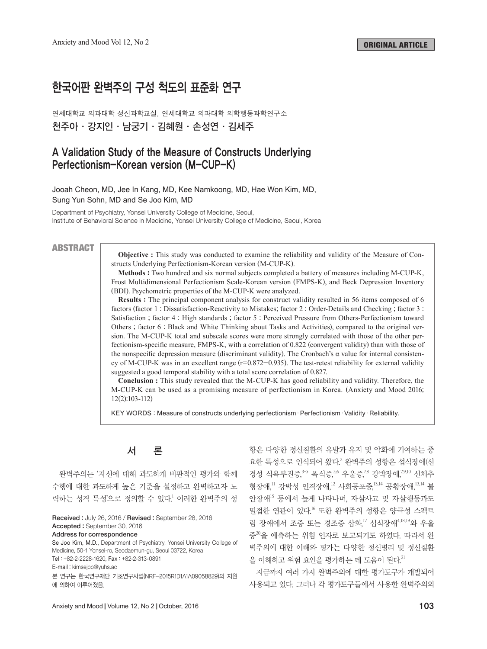# 한국어판 완벽주의 구성 척도의 표준화 연구

연세대학교 의과대학 정신과학교실, 연세대학교 의과대학 의학행동과학연구소 천주아 .강지인 .남궁기 .김혜원 .손성연 .김세주

## A Validation Study of the Measure of Constructs Underlying Perfectionism-Korean version (M-CUP-K)

Jooah Cheon, MD, Jee In Kang, MD, Kee Namkoong, MD, Hae Won Kim, MD, Sung Yun Sohn, MD and Se Joo Kim, MD

Department of Psychiatry, Yonsei University College of Medicine, Seoul, Institute of Behavioral Science in Medicine, Yonsei University College of Medicine, Seoul, Korea

#### **ABSTRACT**

**Objective :** This study was conducted to examine the reliability and validity of the Measure of Constructs Underlying Perfectionism-Korean version (M-CUP-K).

**Methods :** Two hundred and six normal subjects completed a battery of measures including M-CUP-K, Frost Multidimensional Perfectionism Scale-Korean version (FMPS-K), and Beck Depression Inventory (BDI). Psychometric properties of the M-CUP-K were analyzed.

**Results :** The principal component analysis for construct validity resulted in 56 items composed of 6 factors (factor 1 : Dissatisfaction-Reactivity to Mistakes; factor 2 : Order-Details and Checking ; factor 3 : Satisfaction ; factor 4 : High standards ; factor 5 : Perceived Pressure from Others-Perfectionism toward Others ; factor 6 : Black and White Thinking about Tasks and Activities), compared to the original version. The M-CUP-K total and subscale scores were more strongly correlated with those of the other perfectionism-specific measure, FMPS-K, with a correlation of 0.822 (convergent validity) than with those of the nonspecific depression measure (discriminant validity). The Cronbach's α value for internal consistency of M-CUP-K was in an excellent range  $(r=0.872-0.935)$ . The test-retest reliability for external validity suggested a good temporal stability with a total score correlation of 0.827.

**Conclusion :** This study revealed that the M-CUP-K has good reliability and validity. Therefore, the M-CUP-K can be used as a promising measure of perfectionism in Korea. (Anxiety and Mood 2016; 12(2):103-112)

KEY WORDS : Measure of constructs underlying perfectionism · Perfectionism · Validity · Reliability.

# 서 론

완벽주의는 '자신에 대해 과도하게 비판적인 평가와 함께 수행에 대한 과도하게 높은 기준을 설정하고 완벽하고자 노 력하는 성격 특성'으로 정의할 수 있다. <sup>1</sup> 이러한 완벽주의 성

Received : July 26, 2016 / Revised : September 28, 2016 Accepted : September 30, 2016

Address for correspondence

Se Joo Kim, M.D., Department of Psychiatry, Yonsei University College of Medicine, 50-1 Yonsei-ro, Seodaemun-gu, Seoul 03722, Korea

Tel : +82-2-2228-1620, Fax : +82-2-313-0891

E-mail : kimsejoo@yuhs.ac

본 연구는 한국연구재단 기초연구사업(NRF-2015R1D1A1A09058829)의 지원 에 의하여 이루어졌음.

향은 다양한 정신질환의 유발과 유지 및 악화에 기여하는 중 요한 특성으로 인식되어 왔다. <sup>2</sup> 완벽주의 성향은 섭식장애(신 경성 식욕부진증,<sup>3-5</sup> 폭식증,<sup>5,6</sup> 우울증,<sup>7,8</sup> 강박장애,<sup>7,9,10</sup> 신체추 형장애,<sup>11</sup> 강박성 인격장애,<sup>12</sup> 사회공포증,<sup>13,14</sup> 공황장애,<sup>13,14</sup> 불 안장애<sup>15</sup> 등에서 높게 나타나며, 자살사고 및 자살행동과도 밀접한 연관이 있다. <sup>16</sup> 또한 완벽주의 성향은 양극성 스펙트 럼 장애에서 조증 또는 경조증 삽화, <sup>17</sup> 섭식장애4,18,19 와 우울 증<sup>20</sup> 을 예측하는 위험 인자로 보고되기도 하였다. 따라서 완 벽주의에 대한 이해와 평가는 다양한 정신병리 및 정신질환 을 이해하고 위험 요인을 평가하는 데 도움이 된다. 21

지금까지 여러 가지 완벽주의에 대한 평가도구가 개발되어 사용되고 있다. 그러나 각 평가도구들에서 사용한 완벽주의의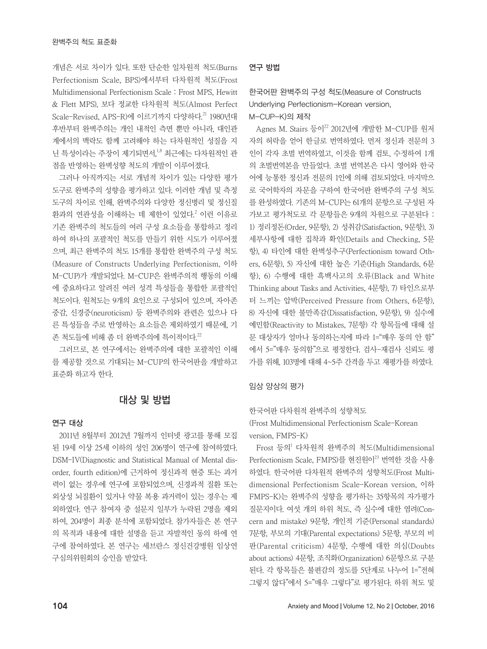개념은 서로 차이가 있다. 또한 단순한 일차원적 척도(Burns Perfectionism Scale, BPS)에서부터 다차원적 척도(Frost Multidimensional Perfectionism Scale : Frost MPS, Hewitt & Flett MPS), 보다 정교한 다차원적 척도(Almost Perfect Scale-Revised, APS-R)에 이르기까지 다양하다. <sup>21</sup> 1980년대 후반부터 완벽주의는 개인 내적인 측면 뿐만 아니라, 대인관 계에서의 맥락도 함께 고려해야 하는 다차원적인 성질을 지 닌 특성이라는 주장이 제기되면서, 1,8 최근에는 다차원적인 관 점을 반영하는 완벽성향 척도의 개발이 이루어졌다.

그러나 아직까지는 서로 개념적 차이가 있는 다양한 평가 도구로 완벽주의 성향을 평가하고 있다. 이러한 개념 및 측정 도구의 차이로 인해, 완벽주의와 다양한 정신병리 및 정신질 환과의 연관성을 이해하는 데 제한이 있었다. <sup>2</sup> 이런 이유로 기존 완벽주의 척도들의 여러 구성 요소들을 통합하고 정리 하여 하나의 포괄적인 척도를 만들기 위한 시도가 이루어졌 으며, 최근 완벽주의 척도 15개를 통합한 완벽주의 구성 척도 (Measure of Constructs Underlying Perfectionism, 이하 M-CUP)가 개발되었다. M-CUP은 완벽주의적 행동의 이해 에 중요하다고 알려진 여러 성격 특성들을 통합한 포괄적인 척도이다. 원척도는 9개의 요인으로 구성되어 있으며, 자아존 중감, 신경증(neuroticism) 등 완벽주의와 관련은 있으나 다 른 특성들을 주로 반영하는 요소들은 제외하였기 때문에, 기 존 척도들에 비해 좀 더 완벽주의에 특이적이다. $^{22}$ 

그러므로, 본 연구에서는 완벽주의에 대한 포괄적인 이해 를 제공할 것으로 기대되는 M-CUP의 한국어판을 개발하고 표준화 하고자 한다.

### 대상 및 방법

#### 연구 대상

2011년 8월부터 2012년 7월까지 인터넷 광고를 통해 모집 된 19세 이상 25세 이하의 성인 206명이 연구에 참여하였다. DSM-IV(Diagnostic and Statistical Manual of Mental disorder, fourth edition)에 근거하여 정신과적 현증 또는 과거 력이 없는 경우에 연구에 포함되었으며, 신경과적 질환 또는 외상성 뇌질환이 있거나 약물 복용 과거력이 있는 경우는 제 외하였다. 연구 참여자 중 설문지 일부가 누락된 2명을 제외 하여, 204명이 최종 분석에 포함되었다. 참가자들은 본 연구 의 목적과 내용에 대한 설명을 듣고 자발적인 동의 하에 연 구에 참여하였다. 본 연구는 세브란스 정신건강병원 임상연 구심의위원회의 승인을 받았다.

#### 연구 방법

### 한국어판 완벽주의 구성 척도(Measure of Constructs Underlying Perfectionism-Korean version, M-CUP-K)의 제작

Agnes M. Stairs 등이<sup>22</sup> 2012년에 개발한 M-CUP를 원저 자의 허락을 얻어 한글로 번역하였다. 먼저 정신과 전문의 3 인이 각자 초벌 번역하였고, 이것을 함께 검토, 수정하여 1개 의 초벌번역본을 만들었다. 초벌 번역본은 다시 영어와 한국 어에 능통한 정신과 전문의 1인에 의해 검토되었다. 마지막으 로 국어학자의 자문을 구하여 한국어판 완벽주의 구성 척도 를 완성하였다. 기존의 M-CUP는 61개의 문항으로 구성된 자 가보고 평가척도로 각 문항들은 9개의 차원으로 구분된다 : 1) 정리정돈(Order, 9문항), 2) 성취감(Satisfaction, 9문항), 3) 세부사항에 대한 집착과 확인(Details and Checking, 5문 항), 4) 타인에 대한 완벽성추구(Perfectionism toward Others, 6문항), 5) 자신에 대한 높은 기준(High Standards, 6문 항), 6) 수행에 대한 흑백사고의 오류(Black and White Thinking about Tasks and Activities, 4문항), 7) 타인으로부 터 느끼는 압박(Perceived Pressure from Others, 6문항), 8) 자신에 대한 불만족감(Dissatisfaction, 9문항), 9) 실수에 예민함(Reactivity to Mistakes, 7문항) 각 항목들에 대해 설 문 대상자가 얼마나 동의하는지에 따라 1="매우 동의 안 함" 에서 5="매우 동의함"으로 평정한다. 검사-재검사 신뢰도 평 가를 위해, 103명에 대해 4~5주 간격을 두고 재평가를 하였다.

#### 임상 양상의 평가

한국어판 다차원적 완벽주의 성향척도

(Frost Multidimensional Perfectionism Scale-Korean version, FMPS-K)

Frost 등의<sup>1</sup> 다차원적 완벽주의 척도(Multidimensional Perfectionism Scale, FMPS)를 현진원이<sup>23</sup> 번역한 것을 사용 하였다. 한국어판 다차원적 완벽주의 성향척도(Frost Multidimensional Perfectionism Scale-Korean version, 이하 FMPS-K)는 완벽주의 성향을 평가하는 35항목의 자가평가 질문지이다. 여섯 개의 하위 척도, 즉 실수에 대한 염려(Concern and mistake) 9문항, 개인적 기준(Personal standards) 7문항, 부모의 기대(Parental expectations) 5문항, 부모의 비 판(Parental criticism) 4문항, 수행에 대한 의심(Doubts about actions) 4문항, 조직화(Organization) 6문항으로 구분 된다. 각 항목들은 불편감의 정도를 5단계로 나누어 1="전혀 그렇지 않다"에서 5="매우 그렇다"로 평가된다. 하위 척도 및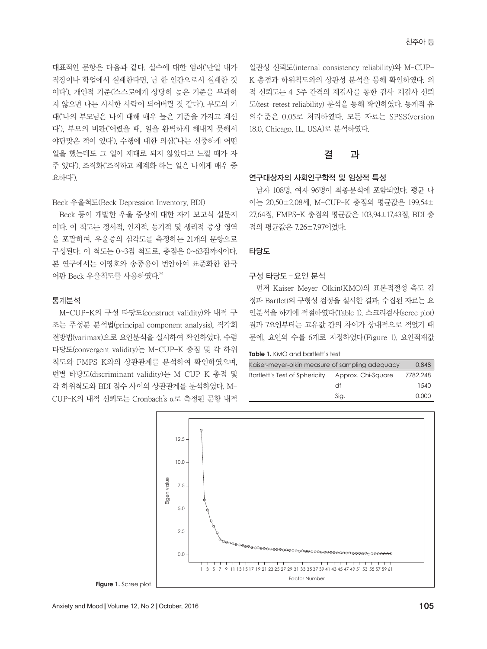대표적인 문항은 다음과 같다. 실수에 대한 염려('만일 내가 직장이나 학업에서 실패한다면, 난 한 인간으로서 실패한 것 이다'), 개인적 기준('스스로에게 상당히 높은 기준을 부과하 지 않으면 나는 시시한 사람이 되어버릴 것 같다'), 부모의 기 대('나의 부모님은 나에 대해 매우 높은 기준을 가지고 계신 다'), 부모의 비판('어렸을 때, 일을 완벽하게 해내지 못해서 야단맞은 적이 있다'), 수행에 대한 의심('나는 신중하게 어떤 일을 했는데도 그 일이 제대로 되지 않았다고 느낄 때가 자 주 있다'), 조직화('조직하고 체계화 하는 일은 나에게 매우 중 요하다').

#### Beck 우울척도(Beck Depression Inventory, BDI)

Beck 등이 개발한 우울 증상에 대한 자기 보고식 설문지 이다. 이 척도는 정서적, 인지적, 동기적 및 생리적 증상 영역 을 포괄하여, 우울증의 심각도를 측정하는 21개의 문항으로 구성된다. 이 척도는 0~3점 척도로, 총점은 0~63점까지이다. 본 연구에서는 이영호와 송종용이 번안하여 표준화한 한국 어판 Beck 우울척도를 사용하였다. 24

#### 통계분석

M-CUP-K의 구성 타당도(construct validity)와 내적 구 조는 주성분 분석법(principal component analysis), 직각회 전방법(varimax)으로 요인분석을 실시하여 확인하였다. 수렴 타당도(convergent validity)는 M-CUP-K 총점 및 각 하위 척도와 FMPS-K와의 상관관계를 분석하여 확인하였으며, 변별 타당도(discriminant validity)는 M-CUP-K 총점 및 각 하위척도와 BDI 점수 사이의 상관관계를 분석하였다. M-CUP-K의 내적 신뢰도는 Cronbach's α로 측정된 문항 내적 일관성 신뢰도(internal consistency reliability)와 M-CUP-K 총점과 하위척도와의 상관성 분석을 통해 확인하였다. 외 적 신뢰도는 4-5주 간격의 재검사를 통한 검사-재검사 신뢰 도(test-retest reliability) 분석을 통해 확인하였다. 통계적 유 의수준은 0.05로 처리하였다. 모든 자료는 SPSS(version 18.0, Chicago, IL, USA)로 분석하였다.

### 결 과

#### 연구대상자의 사회인구학적 및 임상적 특성

남자 108명, 여자 96명이 최종분석에 포함되었다. 평균 나 이는 20.50±2.08세, M-CUP-K 총점의 평균값은 199.54± 27.64점, FMPS-K 총점의 평균값은 103.94±17.43점, BDI 총 점의 평균값은 7.26±7.97이었다.

#### 타당도

#### 구성 타당도–요인 분석

먼저 Kaiser-Meyer-Olkin(KMO)의 표본적절성 측도 검 정과 Bartlett의 구형성 검정을 실시한 결과, 수집된 자료는 요 인분석을 하기에 적절하였다(Table 1). 스크리검사(scree plot) 결과 7요인부터는 고유값 간의 차이가 상대적으로 적었기 때 문에, 요인의 수를 6개로 지정하였다(Figure 1). 요인적재값

**Table 1.** KMO and bartlett's test

| Kaiser-meyer-olkin measure of sampling adequacy | 0.848              |          |
|-------------------------------------------------|--------------------|----------|
| Bartlett's Test of Sphericity                   | Approx. Chi-Square | 7782.248 |
|                                                 | df                 | 1540     |
|                                                 | Sig.               | 0.000    |

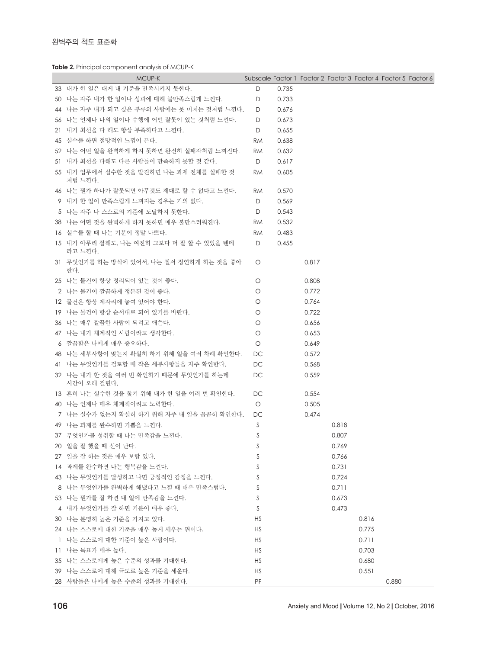**Table 2.** Principal component analysis of MCUP-K

| MCUP-K                                                |           |       | Subscale Factor 1 Factor 2 Factor 3 Factor 4 Factor 5 Factor 6 |       |       |       |  |
|-------------------------------------------------------|-----------|-------|----------------------------------------------------------------|-------|-------|-------|--|
| 33 내가 한 일은 대게 내 기준을 만족시키지 못한다.                        | D         | 0.735 |                                                                |       |       |       |  |
| 50 - 나는 자주 내가 한 일이나 성과에 대해 불만족스럽게 느낀다.                | D         | 0.733 |                                                                |       |       |       |  |
| 44 나는 자주 내가 되고 싶은 부류의 사람에는 못 미치는 것처럼 느낀다.             | D         | 0.676 |                                                                |       |       |       |  |
| 56 나는 언제나 나의 일이나 수행에 어떤 잘못이 있는 것처럼 느낀다.               | D         | 0.673 |                                                                |       |       |       |  |
| 21 내가 최선을 다 해도 항상 부족하다고 느낀다.                          | D         | 0.655 |                                                                |       |       |       |  |
| 45 실수를 하면 절망적인 느낌이 든다.                                | <b>RM</b> | 0.638 |                                                                |       |       |       |  |
| 52 나는 어떤 일을 완벽하게 하지 못하면 완전히 실패자처럼 느껴진다.               | RM.       | 0.632 |                                                                |       |       |       |  |
| 51   내가 최선을 다해도 다른 사람들이 만족하지 못할 것 같다.                 | D         | 0.617 |                                                                |       |       |       |  |
| 55 내가 업무에서 실수한 것을 발견하면 나는 과제 전체를 실패한 것                | <b>RM</b> | 0.605 |                                                                |       |       |       |  |
| 처럼 느낀다.                                               |           |       |                                                                |       |       |       |  |
| 46 나는 뭔가 하나가 잘못되면 아무것도 제대로 할 수 없다고 느낀다.               | RM.       | 0.570 |                                                                |       |       |       |  |
| 9 내가 한 일이 만족스럽게 느껴지는 경우는 거의 없다.                       | D         | 0.569 |                                                                |       |       |       |  |
| 5 나는 자주 나 스스로의 기준에 도달하지 못한다.                          | D         | 0.543 |                                                                |       |       |       |  |
| 38 나는 어떤 것을 완벽하게 하지 못하면 매우 불만스러워진다.                   | RM.       | 0.532 |                                                                |       |       |       |  |
| 16  실수를 할 때 나는 기분이 정말 나쁘다.                            | <b>RM</b> | 0.483 |                                                                |       |       |       |  |
| 15  내가 아무리 잘해도. 나는 여전히 그보다 더 잘 할 수 있었을 텐데             | D         | 0.455 |                                                                |       |       |       |  |
| 라고 느낀다.                                               |           |       |                                                                |       |       |       |  |
| 31 - 무엇인가를 하는 방식에 있어서, 나는 질서 정연하게 하는 것을 좋아<br>한다.     | $\circ$   |       | 0.817                                                          |       |       |       |  |
| 25 나는 물건이 항상 정리되어 있는 것이 좋다.                           | O         |       | 0.808                                                          |       |       |       |  |
| 2 나는 물건이 깔끔하게 정돈된 것이 좋다.                              | $\circ$   |       | 0.772                                                          |       |       |       |  |
| 12 -물건은 항상 제자리에 놓여 있어야 한다.                            | O         |       | 0.764                                                          |       |       |       |  |
| 19 나는 물건이 항상 순서대로 되어 있기를 바란다.                         | O         |       | 0.722                                                          |       |       |       |  |
| 36 나는 매우 깔끔한 사람이 되려고 애쓴다.                             | O         |       | 0.656                                                          |       |       |       |  |
| 47 나는 내가 체계적인 사람이라고 생각한다.                             | O         |       | 0.653                                                          |       |       |       |  |
| 6 _ 깔끔함은 나에게 매우 중요하다.                                 | $\circ$   |       | 0.649                                                          |       |       |       |  |
| 48 나는 세부사항이 맞는지 확실히 하기 위해 일을 여러 차례 확인한다.              | DC.       |       | 0.572                                                          |       |       |       |  |
| 41 나는 무엇인가를 검토할 때 작은 세부사항들을 자주 확인한다.                  | DC.       |       | 0.568                                                          |       |       |       |  |
| 32 나는 내가 한 것을 여러 번 확인하기 때문에 무엇인가를 하는데.<br>시간이 오래 걸린다. | DC.       |       | 0.559                                                          |       |       |       |  |
| 13 _흔히 나는 실수한 것을 찾기 위해 내가 한 일을 여러 번 확인한다.             | DC        |       | 0.554                                                          |       |       |       |  |
| 40 나는 언제나 매우 체계적이려고 노력한다.                             | $\circ$   |       | 0.505                                                          |       |       |       |  |
| 7 나는 실수가 없는지 확실히 하기 위해 자주 내 일을 꼼꼼히 확인한다.              | DC        |       | 0.474                                                          |       |       |       |  |
| 49 나는 과제를 완수하면 기쁨을 느낀다.                               | S         |       |                                                                | 0.818 |       |       |  |
| 37 - 무엇인가를 성취할 때 나는 만족감을 느낀다.                         | S         |       |                                                                | 0.807 |       |       |  |
| 20   일을 잘 했을 때 신이 난다.                                 | S         |       |                                                                | 0.769 |       |       |  |
| 27 일을 잘 하는 것은 매우 보람 있다.                               | S         |       |                                                                | 0.766 |       |       |  |
| 14 과제를 완수하면 나는 행복감을 느낀다.                              | S         |       |                                                                | 0.731 |       |       |  |
| 43 나는 무엇인가를 달성하고 나면 긍정적인 감정을 느낀다.                     | S         |       |                                                                | 0.724 |       |       |  |
| 8 나는 무엇인가를 완벽하게 해냈다고 느낄 때 매우 만족스럽다.                   | S         |       |                                                                | 0.711 |       |       |  |
|                                                       | S         |       |                                                                | 0.673 |       |       |  |
| 53 나는 뭔가를 잘 하면 내 일에 만족감을 느낀다.                         |           |       |                                                                |       |       |       |  |
| 4   내가 무엇인가를 잘 하면 기분이 매우 좋다.                          | S         |       |                                                                | 0.473 |       |       |  |
| 30   나는 분명히 높은 기준을 가지고 있다.                            | <b>HS</b> |       |                                                                |       | 0.816 |       |  |
| 24 나는 스스로에 대한 기준을 매우 높게 세우는 편이다.                      | <b>HS</b> |       |                                                                |       | 0.775 |       |  |
| ㅣ 나는 스스로에 대한 기준이 높은 사람이다.                             | <b>HS</b> |       |                                                                |       | 0.711 |       |  |
| 11 나는 목표가 매우 높다.                                      | <b>HS</b> |       |                                                                |       | 0.703 |       |  |
| 35 나는 스스로에게 높은 수준의 성과를 기대한다.                          | <b>HS</b> |       |                                                                |       | 0.680 |       |  |
| 39 나는 스스로에 대해 극도로 높은 기준을 세운다.                         | <b>HS</b> |       |                                                                |       | 0.551 |       |  |
| 28 사람들은 나에게 높은 수준의 성과를 기대한다.                          | PF        |       |                                                                |       |       | 0.880 |  |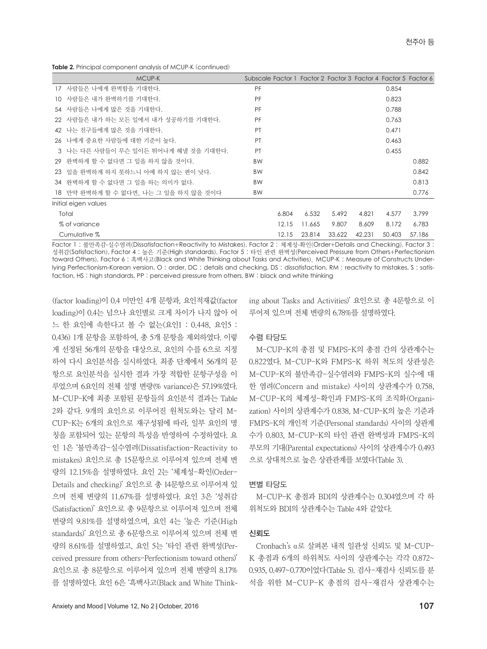**Table 2.** Principal component analysis of MCUP-K (continued)

|    | MCUP-K                                | Subscale Factor 1 Factor 2 Factor 3 Factor 4 Factor 5 Factor 6 |       |        |        |        |        |        |
|----|---------------------------------------|----------------------------------------------------------------|-------|--------|--------|--------|--------|--------|
|    | 17 사람들은 나에게 완벽함을 기대한다.                | PF                                                             |       |        |        |        | 0.854  |        |
| 10 | 사람들은 내가 완벽하기를 기대하다.                   | PF                                                             |       |        |        |        | 0.823  |        |
|    | 54 사람들은 나에게 많은 것을 기대한다.               | PF                                                             |       |        |        |        | 0.788  |        |
|    | 22  사람들은 내가 하는 모든 일에서 내가 성공하기를 기대하다.  | PF                                                             |       |        |        |        | 0.763  |        |
|    | 42 나는 친구들에게 많은 것을 기대한다.               | PT                                                             |       |        |        |        | 0.471  |        |
|    | 26 나에게 중요한 사람들에 대한 기준이 높다.            | PT                                                             |       |        |        |        | 0.463  |        |
|    | 3 나는 다른 사람들이 무슨 일이든 뛰어나게 해낼 것을 기대한다.  | PT                                                             |       |        |        |        | 0.455  |        |
|    | 29  완벽하게 할 수 없다면 그 일을 하지 않을 것이다.      | <b>BW</b>                                                      |       |        |        |        |        | 0.882  |
|    | 23 일을 완벽하게 하지 못하느니 아예 하지 않는 편이 낫다.    | <b>BW</b>                                                      |       |        |        |        |        | 0.842  |
|    | 34 、완벽하게 할 수 없다면 그 일을 하는 의미가 없다.      | <b>BW</b>                                                      |       |        |        |        |        | 0.813  |
|    | 18 만약 완벽하게 할 수 없다면, 나는 그 일을 하지 않을 것이다 | <b>BW</b>                                                      |       |        |        |        |        | 0.776  |
|    | Initial eigen values                  |                                                                |       |        |        |        |        |        |
|    | Total                                 |                                                                | 6.804 | 6.532  | 5.492  | 4.821  | 4.577  | 3.799  |
|    | % of variance                         |                                                                | 12.15 | 11.665 | 9.807  | 8.609  | 8.172  | 6.783  |
|    | Cumulative %                          |                                                                | 12.15 | 23.814 | 33.622 | 42.231 | 50.403 | 57.186 |

Factor 1 : 불만족감-실수염려(Dissatisfaction+Reactivity to Mistakes), Factor 2 : 체계성-확인(Order+Details and Checking), Factor 3 : 성취감(Satisfaction), Factor 4 : 높은 기준(High standards), Factor 5 : 타인 관련 완벽성(Perceived Pressure from Others+Perfectionism toward Others), Factor 6 : 흑백사고(Black and White Thinking about Tasks and Activities). MCUP-K : Measure of Constructs Underlying Perfectionism-Korean version, O : order, DC : details and checking, DS : dissatisfaction, RM : reactivity to mistakes, S : satisfaction, HS : high standards, PP : perceived pressure from others, BW : black and white thinking

(factor loading)이 0.4 미만인 4개 문항과, 요인적재값(factor loading)이 0.4는 넘으나 요인별로 크게 차이가 나지 않아 어 느 한 요인에 속한다고 볼 수 없는(요인1 : 0.448, 요인5 : 0.436) 1개 문항을 포함하여, 총 5개 문항을 제외하였다. 이렇 게 선정된 56개의 문항을 대상으로, 요인의 수를 6으로 지정 하여 다시 요인분석을 실시하였다. 최종 단계에서 56개의 문 항으로 요인분석을 실시한 결과 가장 적합한 문항구성을 이 루었으며 6요인의 전체 설명 변량(% variance)은 57.19%였다. M-CUP-K에 최종 포함된 문항들의 요인분석 결과는 Table 2와 같다. 9개의 요인으로 이루어진 원척도와는 달리 M-CUP-K는 6개의 요인으로 재구성됨에 따라, 일부 요인의 명 칭을 포함되어 있는 문항의 특성을 반영하여 수정하였다. 요 인 1은 '불만족감-실수염려(Dissatisfaction-Reactivity to mistakes) 요인으로 총 15문항으로 이루어져 있으며 전체 변 량의 12.15%을 설명하였다. 요인 2는 '체계성-확인(Order-Details and checking)' 요인으로 총 14문항으로 이루어져 있 으며 전체 변량의 11.67%를 설명하였다. 요인 3은 '성취감 (Satisfaction)' 요인으로 총 9문항으로 이루어져 있으며 전체 변량의 9.81%를 설명하였으며, 요인 4는 '높은 기준(High standards)' 요인으로 총 6문항으로 이루어져 있으며 전체 변 량의 8.61%를 설명하였고, 요인 5는 '타인 관련 완벽성(Perceived pressure from others-Perfectionism toward others)' 요인으로 총 8문항으로 이루어져 있으며 전체 변량의 8.17% 를 설명하였다. 요인 6은 '흑백사고(Black and White Thinking about Tasks and Activities)' 요인으로 총 4문항으로 이 루어져 있으며 전체 변량의 6.78%를 설명하였다.

#### 수렴 타당도

M-CUP-K의 총점 및 FMPS-K의 총점 간의 상관계수는 0.822였다. M-CUP-K와 FMPS-K 하위 척도의 상관성은 M-CUP-K의 불만족감-실수염려와 FMPS-K의 실수에 대 한 염려(Concern and mistake) 사이의 상관계수가 0.758, M-CUP-K의 체계성-확인과 FMPS-K의 조직화(Organization) 사이의 상관계수가 0.838, M-CUP-K의 높은 기준과 FMPS-K의 개인적 기준(Personal standards) 사이의 상관계 수가 0.803, M-CUP-K의 타인 관련 완벽성과 FMPS-K의 부모의 기대(Parental expectations) 사이의 상관계수가 0.493 으로 상대적으로 높은 상관관계를 보였다(Table 3).

#### 변별 타당도

M-CUP-K 총점과 BDI의 상관계수는 0.304였으며 각 하 위척도와 BDI의 상관계수는 Table 4와 같았다.

#### 신뢰도

Cronbach's α로 살펴본 내적 일관성 신뢰도 및 M-CUP-K 총점과 6개의 하위척도 사이의 상관계수는 각각 0.872~ 0.935, 0.497~0.770이었다(Table 5). 검사-재검사 신뢰도를 분 석을 위한 M-CUP-K 총점의 검사-재검사 상관계수는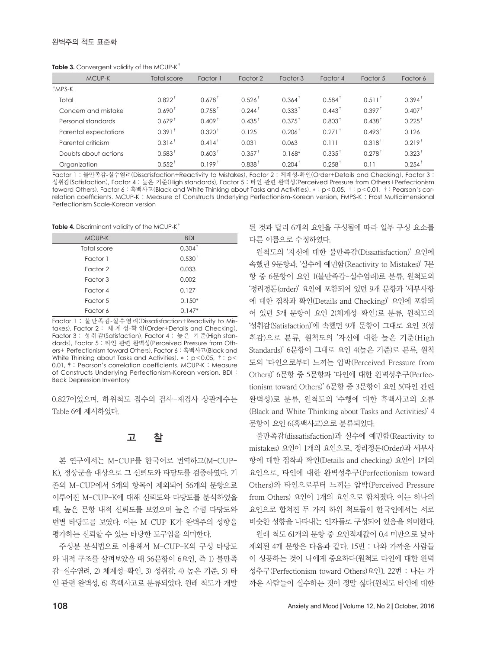|  | Table 3. Convergent validity of the MCUP-K <sup>+</sup> |  |  |  |  |
|--|---------------------------------------------------------|--|--|--|--|
|--|---------------------------------------------------------|--|--|--|--|

| MCUP-K                | <b>Total score</b> | Factor 1             | Factor 2             | Factor 3             | Factor 4             | Factor 5             | Factor 6             |
|-----------------------|--------------------|----------------------|----------------------|----------------------|----------------------|----------------------|----------------------|
| <b>FMPS-K</b>         |                    |                      |                      |                      |                      |                      |                      |
| Total                 | $0.822^{\dagger}$  | $0.678^{\dagger}$    | $0.526$ <sup>†</sup> | $0.364^{\dagger}$    | $0.584^{\dagger}$    | $0.511^+$            | $0.394^{\dagger}$    |
| Concern and mistake   | $0.690^{\dagger}$  | $0.758^+$            | $0.244^+$            | $0.333^{\dagger}$    | $0.443^+$            | $0.397^+$            | $0.407$ <sup>†</sup> |
| Personal standards    | $0.679^{\dagger}$  | $0.409$ <sup>1</sup> | $0.435^{\dagger}$    | $0.375^{\dagger}$    | $0.803$ <sup>1</sup> | $0.438$ <sup>1</sup> | 0.225                |
| Parental expectations | $0.391^{\dagger}$  | $0.320^{\dagger}$    | 0.125                | 0.206                | $0.271$ <sup>†</sup> | $0.493$ <sup>1</sup> | 0.126                |
| Parental criticism    | $0.314^{\dagger}$  | $0.414^+$            | 0.031                | 0.063                | 0.111                | $0.318^+$            | $0.219$ <sup>t</sup> |
| Doubts about actions  | $0.583^{\dagger}$  | $0.603^{\dagger}$    | $0.357^+$            | $0.168*$             | $0.335^{\dagger}$    | $0.278$ <sup>†</sup> | $0.323$ <sup>1</sup> |
| Organization          | $0.552^+$          | $0.199^{\dagger}$    | $0.838^{\dagger}$    | $0.204$ <sup>1</sup> | $0.258$ <sup>†</sup> | 0.11                 | $0.254$ <sup>T</sup> |

Factor 1 : 불만족감-실수염려(Dissatisfaction+Reactivity to Mistakes), Factor 2 : 체계성-확인(Order+Details and Checking), Factor 3 : 성취감(Satisfaction), Factor 4 : 높은 기준(High standards), Factor 5 : 타인 관련 완벽성(Perceived Pressure from Others+Perfectionism toward Others), Factor 6 : 흑백사고(Black and White Thinking about Tasks and Activities). \* : p<0.05, †: p<0.01, ‡: Pearson's correlation coefficients. MCUP-K : Measure of Constructs Underlying Perfectionism-Korean version, FMPS-K : Frost Multidimensional Perfectionism Scale-Korean version

Table 4. Discriminant validity of the MCUP-K<sup>+</sup>

| MCUP-K      | <b>BDI</b>        |
|-------------|-------------------|
| Total score | $0.304^{\dagger}$ |
| Factor 1    | $0.530^+$         |
| Factor 2    | 0.033             |
| Factor 3    | 0.002             |
| Factor 4    | 0.127             |
| Factor 5    | $0.150*$          |
| Factor 6    | $0.147*$          |

Factor 1 : 불만족감-실수염려(Dissatisfaction+Reactivity to Mistakes), Factor 2 : 체 계 성-확 인(Order+Details and Checking), Factor 3 : 성 취 감(Satisfaction), Factor 4 : 높 은 기 준(High standards), Factor 5 : 타인 관련 완벽성(Perceived Pressure from Others+ Perfectionism toward Others), Factor 6 : 흑백사고(Black and White Thinking about Tasks and Activities). \*: p<0.05,  $\dagger$ : p< 0.01,‡: Pearson's correlation coefficients. MCUP-K : Measure of Constructs Underlying Perfectionism-Korean version, BDI : Beck Depression Inventory

0.827이었으며, 하위척도 점수의 검사-재검사 상관계수는 Table 6에 제시하였다.

### 고 찰

본 연구에서는 M-CUP를 한국어로 번역하고(M-CUP-K), 정상군을 대상으로 그 신뢰도와 타당도를 검증하였다. 기 존의 M-CUP에서 5개의 항목이 제외되어 56개의 문항으로 이루어진 M-CUP-K에 대해 신뢰도와 타당도를 분석하였을 때, 높은 문항 내적 신뢰도를 보였으며 높은 수렴 타당도와 변별 타당도를 보였다. 이는 M-CUP-K가 완벽주의 성향을 평가하는 신뢰할 수 있는 타당한 도구임을 의미한다.

주성분 분석법으로 이용해서 M-CUP-K의 구성 타당도 와 내적 구조를 살펴보았을 때 56문항이 6요인, 즉 1) 불만족 감-실수염려, 2) 체계성-확인, 3) 성취감, 4) 높은 기준, 5) 타 인 관련 완벽성, 6) 흑백사고로 분류되었다. 원래 척도가 개발

된 것과 달리 6개의 요인을 구성됨에 따라 일부 구성 요소를 다른 이름으로 수정하였다.

원척도의 '자신에 대한 불만족감(Dissatisfaction)' 요인에 속했던 9문항과, '실수에 예민함(Reactivity to Mistakes)' 7문 항 중 6문항이 요인 1(불만족감-실수염려)로 분류, 원척도의 '정리정돈(order)' 요인에 포함되어 있던 9개 문항과 '세부사항 에 대한 집착과 확인(Details and Checking)' 요인에 포함되 어 있던 5개 문항이 요인 2(체계성-확인)로 분류, 원척도의 '성취감(Satisfaction)'에 속했던 9개 문항이 그대로 요인 3(성 취감)으로 분류, 원척도의 '자신에 대한 높은 기준(High Standards)' 6문항이 그대로 요인 4(높은 기준)로 분류, 원척 도의 '타인으로부터 느끼는 압박(Perceived Pressure from Others)' 6문항 중 5문항과 '타인에 대한 완벽성추구(Perfectionism toward Others)' 6문항 중 3문항이 요인 5(타인 관련 완벽성)로 분류, 원척도의 '수행에 대한 흑백사고의 오류 (Black and White Thinking about Tasks and Activities)' 4 문항이 요인 6(흑백사고)으로 분류되었다.

불만족감(dissatisfaction)과 실수에 예민함(Reactivity to mistakes) 요인이 1개의 요인으로, 정리정돈(Order)과 세부사 항에 대한 집착과 확인(Details and checking) 요인이 1개의 요인으로, 타인에 대한 완벽성추구(Perfectionism toward Others)와 타인으로부터 느끼는 압박(Perceived Pressure from Others) 요인이 1개의 요인으로 합쳐졌다. 이는 하나의 요인으로 합쳐진 두 가지 하위 척도들이 한국인에서는 서로 비슷한 성향을 나타내는 인자들로 구성되어 있음을 의미한다.

원래 척도 61개의 문항 중 요인적재값이 0.4 미만으로 낮아 제외된 4개 문항은 다음과 같다. 15번 : 나와 가까운 사람들 이 성공하는 것이 나에게 중요하다〔원척도 타인에 대한 완벽 성추구(Perfectionism toward Others)요인〕. 22번 : 나는 가 까운 사람들이 실수하는 것이 정말 싫다〔원척도 타인에 대한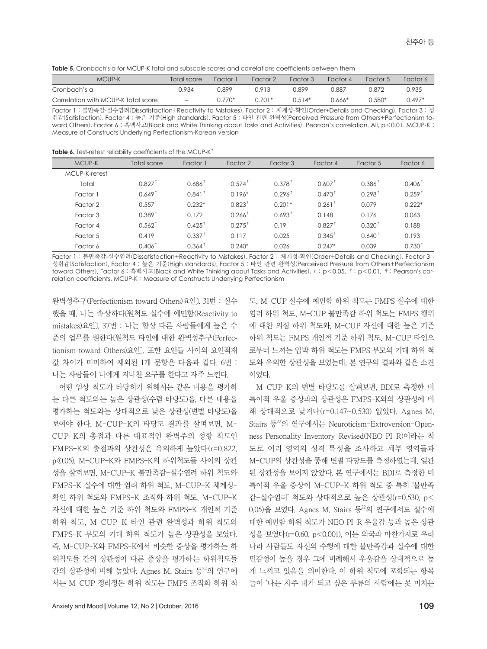| <b>Table 5.</b> Cronbach's a for MCUP-K total and subscale scores and correlations coefficients between them |  |
|--------------------------------------------------------------------------------------------------------------|--|
|--------------------------------------------------------------------------------------------------------------|--|

| MCUP-K                              | Total score              | Factor 1 | Factor 2 | Factor 3 | Factor 4 | Factor 5 | Factor 6 |
|-------------------------------------|--------------------------|----------|----------|----------|----------|----------|----------|
| Cronbach's a                        | 0.934                    | 0.899    | 0.913    | በ 899    | 0.887    | 0.872    | 0.935    |
| Correlation with MCUP-K total score | $\overline{\phantom{0}}$ | $0.770*$ | $0.701*$ | $0.514*$ | 0.666*   | 0.580*   | $0.497*$ |

Factor 1 : 불만족감-실수염려(Dissatisfaction+Reactivity to Mistakes), Factor 2 : 체계성-확인(Order+Details and Checking), Factor 3 : 성 취감(Satisfaction), Factor 4 : 높은 기준(High standards), Factor 5 : 타인 관련 완벽성(Perceived Pressure from Others+Perfectionism toward Others), Factor 6 : 흑백사고(Black and White Thinking about Tasks and Activities). Pearson's correlation. All, p<0.01. MCUP-K : Measure of Constructs Underlying Perfectionism-Korean version

| MCUP-K        | Total score          | Factor 1             | Factor 2          | Factor 3             | Factor 4             | Factor 5          | Factor 6          |
|---------------|----------------------|----------------------|-------------------|----------------------|----------------------|-------------------|-------------------|
| MCUP-K-retest |                      |                      |                   |                      |                      |                   |                   |
| Total         | 0.827                | $0.686^{\dagger}$    | $0.574^{\dagger}$ | $0.378$ <sup>†</sup> | $0.607$ <sup>†</sup> | $0.386^{\dagger}$ | $0.406^{\dagger}$ |
| Factor 1      | $0.649$ <sup>1</sup> | $0.841$ <sup>†</sup> | $0.196*$          | $0.296^+$            | $0.473^+$            | $0.298^{\dagger}$ | $0.259^+$         |
| Factor 2      | $0.557^+$            | $0.232*$             | $0.823^+$         | $0.201*$             | $0.261$ <sup>†</sup> | 0.079             | $0.222*$          |
| Factor 3      | $0.389^+$            | 0.172                | $0.266^{\dagger}$ | $0.693^+$            | 0.148                | 0.176             | 0.063             |
| Factor 4      | $0.562^+$            | $0.425^+$            | $0.275^{\dagger}$ | 0.19                 | $0.827$ <sup>†</sup> | $0.320^+$         | 0.188             |
| Factor 5      | $0.419^+$            | $0.337^+$            | 0.117             | 0.025                | $0.345^+$            | $0.640^+$         | 0.193             |
| Factor 6      | $0.406^{\dagger}$    | $0.364^+$            | $0.240*$          | 0.026                | $0.247*$             | 0.039             | $0.730^{\dagger}$ |

Factor 1 : 불만족감-실수염려(Dissatisfaction+Reactivity to Mistakes), Factor 2 : 체계성-확인(Order+Details and Checking), Factor 3 : 성취감(Satisfaction), Factor 4 : 높은 기준(High standards), Factor 5 : 타인 관련 완벽성(Perceived Pressure from Others+Perfectionism toward Others), Factor 6 : 흑백사고(Black and White Thinking about Tasks and Activities). \* : p<0.05, †: p<0.01, ‡: Pearson's correlation coefficients. MCUP-K : Measure of Constructs Underlying Perfectionism

완벽성추구(Perfectionism toward Others)요인〕. 31번 : 실수 했을 때, 나는 속상하다〔원척도 실수에 예민함(Reactivity to mistakes)요인〕. 37번 : 나는 항상 다른 사람들에게 높은 수 준의 업무를 원한다〔원척도 타인에 대한 완벽성추구(Perfectionism toward Others)요인〕. 또한 요인들 사이의 요인적재 값 차이가 미미하여 제외된 1개 문항은 다음과 같다. 6번 : 나는 사람들이 나에게 지나친 요구를 한다고 자주 느낀다.

어떤 임상 척도가 타당하기 위해서는 같은 내용을 평가하 는 다른 척도와는 높은 상관성(수렴 타당도)을, 다른 내용을 평가하는 척도와는 상대적으로 낮은 상관성(변별 타당도)을 보여야 한다. M-CUP-K의 타당도 결과를 살펴보면, M-CUP-K의 총점과 다른 대표적인 완벽주의 성향 척도인 FMPS-K의 총점과의 상관성은 유의하게 높았다(r=0.822, p<0.05). M-CUP-K와 FMPS-K의 하위척도들 사이의 상관 성을 살펴보면, M-CUP-K 불만족감-실수염려 하위 척도와 FMPS-K 실수에 대한 염려 하위 척도, M-CUP-K 체계성-확인 하위 척도와 FMPS-K 조직화 하위 척도, M-CUP-K 자신에 대한 높은 기준 하위 척도와 FMPS-K 개인적 기준 하위 척도, M-CUP-K 타인 관련 완벽성과 하위 척도와 FMPS-K 부모의 기대 하위 척도가 높은 상관성을 보였다. 즉, M-CUP-K와 FMPS-K에서 비슷한 증상을 평가하는 하 위척도들 간의 상관성이 다른 증상을 평가하는 하위척도들 간의 상관성에 비해 높았다. Agnes M. Stairs 등22의 연구에 서는 M-CUP 정리정돈 하위 척도는 FMPS 조직화 하위 척 도, M-CUP 실수에 예민함 하위 척도는 FMPS 실수에 대한 염려 하위 척도, M-CUP 불만족감 하위 척도는 FMPS 행위 에 대한 의심 하위 척도와, M-CUP 자신에 대한 높은 기준 하위 척도는 FMPS 개인적 기준 하위 척도, M-CUP 타인으 로부터 느끼는 압박 하위 척도는 FMPS 부모의 기대 하위 척 도와 유의한 상관성을 보였는데, 본 연구의 결과와 같은 소견 이었다.

M-CUP-K의 변별 타당도를 살펴보면, BDI로 측정한 비 특이적 우울 증상과의 상관성은 FMPS-K와의 상관성에 비 해 상대적으로 낮거나(r=0.147~0.530) 없었다. Agnes M. Stairs 등<sup>22</sup>의 연구에서는 Neuroticism-Extroversion-Openness Personality Inventory-Revised(NEO PI-R)이라는 척 도로 여러 영역의 성격 특성을 조사하고 세부 영역들과 M-CUP의 상관성을 통해 변별 타당도를 측정하였는데, 일관 된 상관성을 보이지 않았다. 본 연구에서는 BDI로 측정한 비 특이적 우울 증상이 M-CUP-K 하위 척도 중 특히 '불만족 감-실수염려' 척도와 상대적으로 높은 상관성(r=0.530, p< 0.05)을 보였다. Agnes M. Stairs 등<sup>22</sup>의 연구에서도 실수에 대한 예민함 하위 척도가 NEO PI-R 우울감 등과 높은 상관 성을 보였다(r=0.60, p<0.001), 이는 외국과 마찬가지로 우리 나라 사람들도 자신의 수행에 대한 불만족감과 실수에 대한 민감성이 높을 경우 그에 비례해서 우울감을 상대적으로 높 게 느끼고 있음을 의미한다. 이 하위 척도에 포함되는 항목 들이 '나는 자주 내가 되고 싶은 부류의 사람에는 못 미치는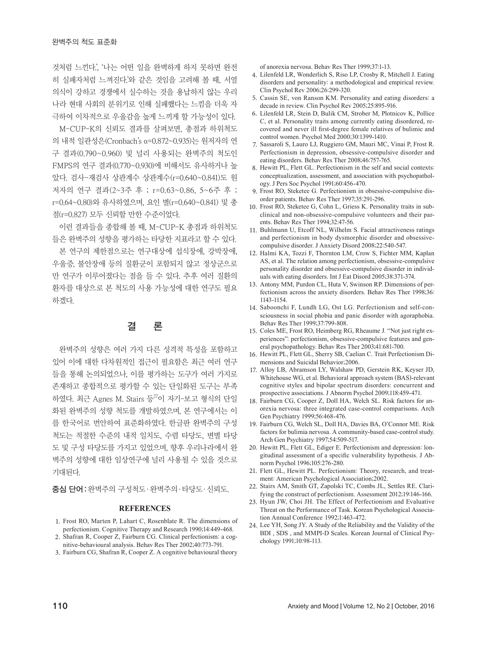것처럼 느낀다.', '나는 어떤 일을 완벽하게 하지 못하면 완전 히 실패자처럼 느껴진다.'와 같은 것임을 고려해 볼 때, 서열 의식이 강하고 경쟁에서 실수하는 것을 용납하지 않는 우리 나라 현대 사회의 분위기로 인해 실패했다는 느낌을 더욱 자 극하여 이차적으로 우울감을 높게 느끼게 할 가능성이 있다.

M-CUP-K의 신뢰도 결과를 살펴보면, 총점과 하위척도 의 내적 일관성은(Cronbach's α=0.872~0.935)는 원저자의 연 구 결과(0.790~0.960) 및 널리 사용되는 완벽주의 척도인 FMPS의 연구 결과(0.770~0.930)에 비해서도 유사하거나 높 았다. 검사-재검사 상관계수 상관계수(r=0.640~0.841)도 원 저자의 연구 결과(2~3주 후 ; r=0.63~0.86, 5~6주 후 ; r=0.64~0.80)와 유사하였으며, 요인 별(r=0.640~0.841) 및 총 점(r=0.827) 모두 신뢰할 만한 수준이었다.

이런 결과들을 종합해 볼 때, M-CUP-K 총점과 하위척도 들은 완벽주의 성향을 평가하는 타당한 지표라고 할 수 있다. 본 연구의 제한점으로는 연구대상에 섭식장애, 강박장애, 우울증, 불안장애 등의 질환군이 포함되지 않고 정상군으로 만 연구가 이루어졌다는 점을 들 수 있다. 추후 여러 질환의 환자를 대상으로 본 척도의 사용 가능성에 대한 연구도 필요 하겠다.

### 결 론

완벽주의 성향은 여러 가지 다른 성격적 특성을 포함하고 있어 이에 대한 다차원적인 접근이 필요함은 최근 여러 연구 들을 통해 논의되었으나, 이를 평가하는 도구가 여러 가지로 존재하고 종합적으로 평가할 수 있는 단일화된 도구는 부족 하였다. 최근 Agnes M. Stairs 등22이 자기-보고 형식의 단일 화된 완벽주의 성향 척도를 개발하였으며, 본 연구에서는 이 를 한국어로 번안하여 표준화하였다. 한글판 완벽주의 구성 척도는 적절한 수준의 내적 일치도, 수렴 타당도, 변별 타당 도 및 구성 타당도를 가지고 있었으며, 향후 우리나라에서 완 벽주의 성향에 대한 임상연구에 널리 사용될 수 있을 것으로 기대된다.

중심 단어:완벽주의 구성척도·완벽주의·타당도·신뢰도.

#### **REFERENCES**

- 1. Frost RO, Marten P, Lahart C, Rosenblate R. The dimensions of perfectionism. Cognitive Therapy and Research 1990;14:449-468.
- 2. Shafran R, Cooper Z, Fairburn CG. Clinical perfectionism: a cognitive-behavioural analysis. Behav Res Ther 2002;40:773-791.
- 3. Fairburn CG, Shafran R, Cooper Z. A cognitive behavioural theory

of anorexia nervosa. Behav Res Ther 1999;37:1-13.

- 4. Lilenfeld LR, Wonderlich S, Riso LP, Crosby R, Mitchell J. Eating disorders and personality: a methodological and empirical review. Clin Psychol Rev 2006;26:299-320.
- 5. Cassin SE, von Ranson KM. Personality and eating disorders: a decade in review. Clin Psychol Rev 2005;25:895-916.
- 6. Lilenfeld LR, Stein D, Bulik CM, Strober M, Plotnicov K, Pollice C, et al. Personality traits among currently eating disordered, recovered and never ill first-degree female relatives of bulimic and control women. Psychol Med 2000;30:1399-1410.
- 7. Sassaroli S, Lauro LJ, Ruggiero GM, Mauri MC, Vinai P, Frost R. Perfectionism in depression, obsessive-compulsive disorder and eating disorders. Behav Res Ther 2008;46:757-765.
- 8. Hewitt PL, Flett GL. Perfectionism in the self and social contexts: conceptualization, assessment, and association with psychopathology. J Pers Soc Psychol 1991;60:456-470.
- 9. Frost RO, Steketee G. Perfectionism in obsessive-compulsive disorder patients. Behav Res Ther 1997;35:291-296.
- 10. Frost RO, Steketee G, Cohn L, Griess K. Personality traits in subclinical and non-obsessive-compulsive volunteers and their parents. Behav Res Ther 1994;32:47-56.
- 11. Buhlmann U, Etcoff NL, Wilhelm S. Facial attractiveness ratings and perfectionism in body dysmorphic disorder and obsessivecompulsive disorder. J Anxiety Disord 2008;22:540-547.
- 12. Halmi KA, Tozzi F, Thornton LM, Crow S, Fichter MM, Kaplan AS, et al. The relation among perfectionism, obsessive-compulsive personality disorder and obsessive-compulsive disorder in individuals with eating disorders. Int J Eat Disord 2005;38:371-374.
- 13. Antony MM, Purdon CL, Huta V, Swinson RP. Dimensions of perfectionism across the anxiety disorders. Behav Res Ther 1998;36: 1143-1154.
- 14. Saboonchi F, Lundh LG, Ost LG. Perfectionism and self-consciousness in social phobia and panic disorder with agoraphobia. Behav Res Ther 1999;37:799-808.
- 15. Coles ME, Frost RO, Heimberg RG, Rheaume J. "Not just right experiences": perfectionism, obsessive-compulsive features and general psychopathology. Behav Res Ther 2003;41:681-700.
- 16. Hewitt PL, Flett GL, Sherry SB, Caelian C. Trait Perfectionism Dimensions and Suicidal Behavior;2006.
- 17. Alloy LB, Abramson LY, Walshaw PD, Gerstein RK, Keyser JD, Whitehouse WG, et al. Behavioral approach system (BAS)-relevant cognitive styles and bipolar spectrum disorders: concurrent and prospective associations. J Abnorm Psychol 2009;118:459-471.
- 18. Fairburn CG, Cooper Z, Doll HA, Welch SL. Risk factors for anorexia nervosa: three integrated case-control comparisons. Arch Gen Psychiatry 1999;56:468-476.
- 19. Fairburn CG, Welch SL, Doll HA, Davies BA, O'Connor ME. Risk factors for bulimia nervosa. A community-based case-control study. Arch Gen Psychiatry 1997;54:509-517.
- 20. Hewitt PL, Flett GL, Ediger E. Perfectionism and depression: longitudinal assessment of a specific vulnerability hypothesis. J Abnorm Psychol 1996;105:276-280.
- 21. Flett GL, Hewitt PL. Perfectionism: Theory, research, and treatment: American Psychological Association;2002.
- 22. Stairs AM, Smith GT, Zapolski TC, Combs JL, Settles RE. Clarifying the construct of perfectionism. Assessment 2012;19:146-166.
- 23. Hyun JW, Choi JH. The Effect of Perfectionism and Evaluative Threat on the Performance of Task. Korean Psychological Association Annual Conference 1992;1:463-472.
- 24. Lee YH, Song JY. A Study of the Reliability and the Validity of the BDI , SDS , and MMPI-D Scales. Korean Journal of Clinical Psychology 1991;10:98-113.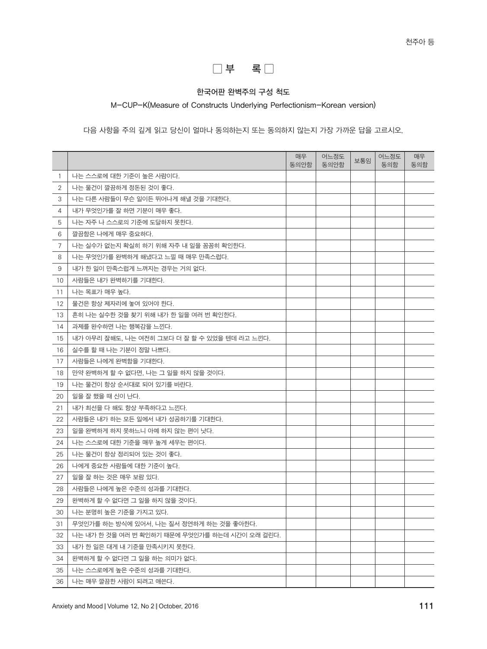

### 한국어판 완벽주의 구성 척도

M-CUP-K(Measure of Constructs Underlying Perfectionism-Korean version)

다음 사항을 주의 깊게 읽고 당신이 얼마나 동의하는지 또는 동의하지 않는지 가장 가까운 답을 고르시오.

|                |                                                | 매우<br>동의안함 | 어느정도<br>동의안함 | 보통임 | 어느정도<br>동의함 | 매우<br>동의함 |
|----------------|------------------------------------------------|------------|--------------|-----|-------------|-----------|
| 1              | 나는 스스로에 대한 기준이 높은 사람이다.                        |            |              |     |             |           |
| $\mathbf{2}$   | 나는 물건이 깔끔하게 정돈된 것이 좋다.                         |            |              |     |             |           |
| 3              | 나는 다른 사람들이 무슨 일이든 뛰어나게 해낼 것을 기대한다.             |            |              |     |             |           |
| 4              | 내가 무엇인가를 잘 하면 기분이 매우 좋다.                       |            |              |     |             |           |
| 5              | 나는 자주 나 스스로의 기준에 도달하지 못한다.                     |            |              |     |             |           |
| 6              | 깔끔함은 나에게 매우 중요하다.                              |            |              |     |             |           |
| $\overline{7}$ | 나는 실수가 없는지 확실히 하기 위해 자주 내 일을 꼼꼼히 확인한다.         |            |              |     |             |           |
| 8              | 나는 무엇인가를 완벽하게 해냈다고 느낄 때 매우 만족스럽다.              |            |              |     |             |           |
| 9              | 내가 한 일이 만족스럽게 느껴지는 경우는 거의 없다.                  |            |              |     |             |           |
| 10             | 사람들은 내가 완벽하기를 기대한다.                            |            |              |     |             |           |
| 11             | 나는 목표가 매우 높다.                                  |            |              |     |             |           |
| 12             | 물건은 항상 제자리에 놓여 있어야 한다.                         |            |              |     |             |           |
| 13             | 흔히 나는 실수한 것을 찾기 위해 내가 한 일을 여러 번 확인한다.          |            |              |     |             |           |
| 14             | 과제를 완수하면 나는 행복감을 느낀다.                          |            |              |     |             |           |
| 15             | 내가 아무리 잘해도. 나는 여전히 그보다 더 잘 할 수 있었을 텐데 라고 느낀다.  |            |              |     |             |           |
| 16             | 실수를 할 때 나는 기분이 정말 나쁘다.                         |            |              |     |             |           |
| 17             | 사람들은 나에게 완벽함을 기대한다.                            |            |              |     |             |           |
| 18             | 만약 완벽하게 할 수 없다면, 나는 그 일을 하지 않을 것이다.            |            |              |     |             |           |
| 19             | 나는 물건이 항상 순서대로 되어 있기를 바란다.                     |            |              |     |             |           |
| 20             | 일을 잘 했을 때 신이 난다.                               |            |              |     |             |           |
| 21             | 내가 최선을 다 해도 항상 부족하다고 느낀다.                      |            |              |     |             |           |
| 22             | 사람들은 내가 하는 모든 일에서 내가 성공하기를 기대한다.               |            |              |     |             |           |
| 23             | 일을 완벽하게 하지 못하느니 아예 하지 않는 편이 낫다.                |            |              |     |             |           |
| 24             | 나는 스스로에 대한 기준을 매우 높게 세우는 편이다.                  |            |              |     |             |           |
| 25             | 나는 물건이 항상 정리되어 있는 것이 좋다.                       |            |              |     |             |           |
| 26             | 나에게 중요한 사람들에 대한 기준이 높다.                        |            |              |     |             |           |
| 27             | 일을 잘 하는 것은 매우 보람 있다.                           |            |              |     |             |           |
| 28             | 사람들은 나에게 높은 수준의 성과를 기대한다.                      |            |              |     |             |           |
| 29             | 완벽하게 할 수 없다면 그 일을 하지 않을 것이다.                   |            |              |     |             |           |
| 30             | 나는 분명히 높은 기준을 가지고 있다.                          |            |              |     |             |           |
| 31             | '무엇인가를 하는 방식에 있어서, 나는 질서 정연하게 하는 것을 좋아한다.      |            |              |     |             |           |
| 32             | 나는 내가 한 것을 여러 번 확인하기 때문에 무엇인가를 하는데 시간이 오래 걸린다. |            |              |     |             |           |
| 33             | 내가 한 일은 대게 내 기준을 만족시키지 못한다.                    |            |              |     |             |           |
| 34             | 완벽하게 할 수 없다면 그 일을 하는 의미가 없다.                   |            |              |     |             |           |
| 35             | 나는 스스로에게 높은 수준의 성과를 기대한다.                      |            |              |     |             |           |
| 36             | 나는 매우 깔끔한 사람이 되려고 애쓴다.                         |            |              |     |             |           |